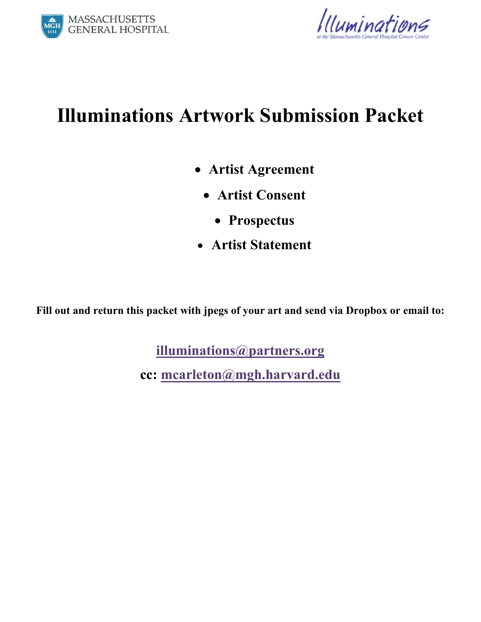



# **Illuminations Artwork Submission Packet**

- **Artist Agreement** 
	- **Artist Consent** 
		- **Prospectus**
- **Artist Statement**

**Fill out and return this packet with jpegs of your art and send via Dropbox or email to:** 

**illuminations@partners.org**

**cc: mcarleton@mgh.harvard.edu**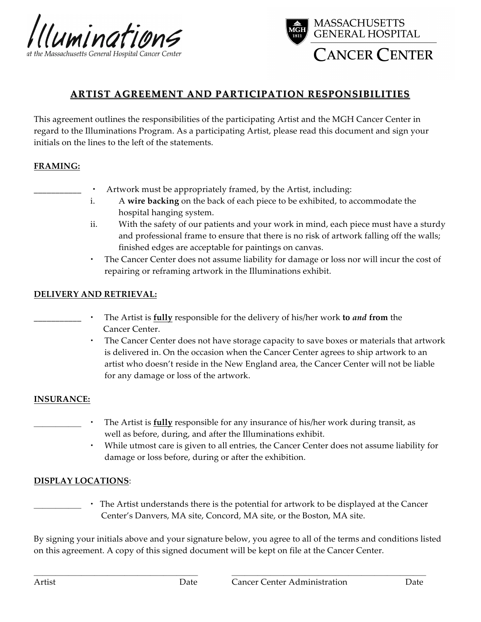



### **ARTIST AGREEMENT AND PARTICIPATION RESPONSIBILITIES**

This agreement outlines the responsibilities of the participating Artist and the MGH Cancer Center in regard to the Illuminations Program. As a participating Artist, please read this document and sign your initials on the lines to the left of the statements.

#### **FRAMING:**

- Artwork must be appropriately framed, by the Artist, including:
- i. A **wire backing** on the back of each piece to be exhibited, to accommodate the hospital hanging system.
- ii. With the safety of our patients and your work in mind, each piece must have a sturdy and professional frame to ensure that there is no risk of artwork falling off the walls; finished edges are acceptable for paintings on canvas.
- The Cancer Center does not assume liability for damage or loss nor will incur the cost of repairing or reframing artwork in the Illuminations exhibit.

#### **DELIVERY AND RETRIEVAL:**

- \_\_\_\_\_\_\_\_\_\_\_ The Artist is **fully** responsible for the delivery of his/her work **to** *and* **from** the Cancer Center.
	- The Cancer Center does not have storage capacity to save boxes or materials that artwork is delivered in. On the occasion when the Cancer Center agrees to ship artwork to an artist who doesn't reside in the New England area, the Cancer Center will not be liable for any damage or loss of the artwork.

#### **INSURANCE:**

- The Artist is **fully** responsible for any insurance of his/her work during transit, as well as before, during, and after the Illuminations exhibit.
	- While utmost care is given to all entries, the Cancer Center does not assume liability for damage or loss before, during or after the exhibition.

#### **DISPLAY LOCATIONS**:

\_\_\_\_\_\_\_\_\_\_\_ The Artist understands there is the potential for artwork to be displayed at the Cancer Center's Danvers, MA site, Concord, MA site, or the Boston, MA site.

By signing your initials above and your signature below, you agree to all of the terms and conditions listed on this agreement. A copy of this signed document will be kept on file at the Cancer Center.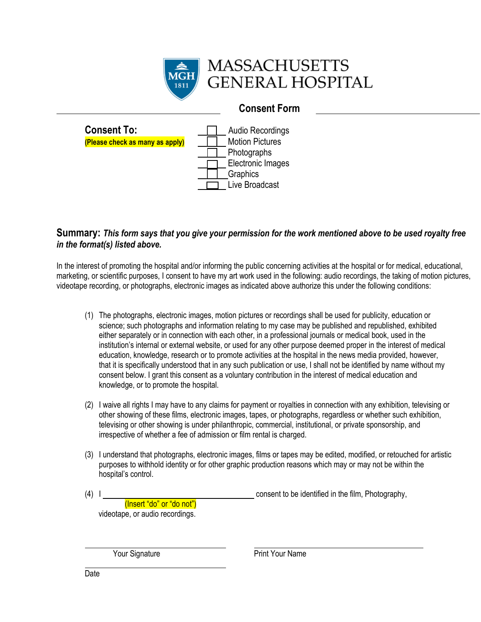

# **MASSACHUSETTS GENERAL HOSPITAL**

## **Consent Form**



### **Summary:** *This form says that you give your permission for the work mentioned above to be used royalty free in the format(s) listed above.*

In the interest of promoting the hospital and/or informing the public concerning activities at the hospital or for medical, educational, marketing, or scientific purposes, I consent to have my art work used in the following: audio recordings, the taking of motion pictures, videotape recording, or photographs, electronic images as indicated above authorize this under the following conditions:

- (1) The photographs, electronic images, motion pictures or recordings shall be used for publicity, education or science; such photographs and information relating to my case may be published and republished, exhibited either separately or in connection with each other, in a professional journals or medical book, used in the institution's internal or external website, or used for any other purpose deemed proper in the interest of medical education, knowledge, research or to promote activities at the hospital in the news media provided, however, that it is specifically understood that in any such publication or use, I shall not be identified by name without my consent below. I grant this consent as a voluntary contribution in the interest of medical education and knowledge, or to promote the hospital.
- (2) I waive all rights I may have to any claims for payment or royalties in connection with any exhibition, televising or other showing of these films, electronic images, tapes, or photographs, regardless or whether such exhibition, televising or other showing is under philanthropic, commercial, institutional, or private sponsorship, and irrespective of whether a fee of admission or film rental is charged.
- (3) I understand that photographs, electronic images, films or tapes may be edited, modified, or retouched for artistic purposes to withhold identity or for other graphic production reasons which may or may not be within the hospital's control.

(4) I consent to be identified in the film, Photography,

 (Insert "do" or "do not") videotape, or audio recordings.

Your Signature **Print Your Name** 

l,

j.

Witness Date Date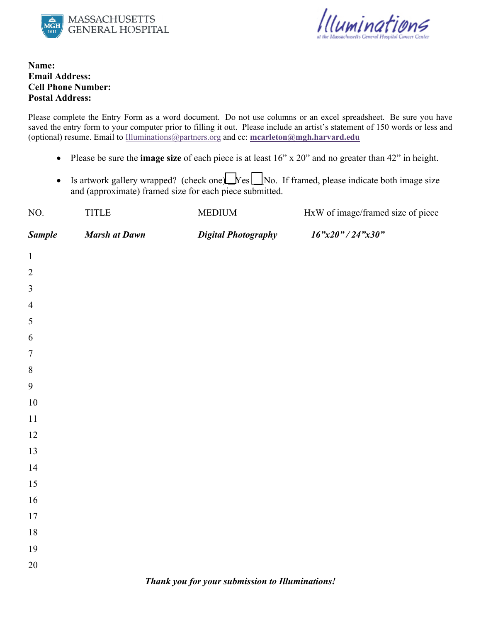



**Name: Email Address: Cell Phone Number: Postal Address:** 

Please complete the Entry Form as a word document. Do not use columns or an excel spreadsheet. Be sure you have saved the entry form to your computer prior to filling it out. Please include an artist's statement of 150 words or less and (optional) resume. Email to Illuminations@partners.org and cc: **mcarleton@mgh.harvard.edu**

- Please be sure the **image size** of each piece is at least 16" x 20" and no greater than 42" in height.
- Is artwork gallery wrapped? (check one) $\lfloor N \cdot e \rfloor$  No. If framed, please indicate both image size and (approximate) framed size for each piece submitted.

| NO.                                             | <b>TITLE</b>         | <b>MEDIUM</b>              | HxW of image/framed size of piece |
|-------------------------------------------------|----------------------|----------------------------|-----------------------------------|
| <b>Sample</b>                                   | <b>Marsh at Dawn</b> | <b>Digital Photography</b> | 16"x20" / 24"x30"                 |
| $\mathbf{1}$                                    |                      |                            |                                   |
| $\sqrt{2}$                                      |                      |                            |                                   |
| $\mathfrak{Z}$                                  |                      |                            |                                   |
| $\overline{4}$                                  |                      |                            |                                   |
| $\mathfrak{S}$                                  |                      |                            |                                   |
| $\sqrt{6}$                                      |                      |                            |                                   |
| $\boldsymbol{7}$                                |                      |                            |                                   |
| $8\,$                                           |                      |                            |                                   |
| 9                                               |                      |                            |                                   |
| $10\,$                                          |                      |                            |                                   |
| $11\,$                                          |                      |                            |                                   |
| $12\,$                                          |                      |                            |                                   |
| 13                                              |                      |                            |                                   |
| 14                                              |                      |                            |                                   |
| $15\,$                                          |                      |                            |                                   |
| $16\,$                                          |                      |                            |                                   |
| $17\,$                                          |                      |                            |                                   |
| $18\,$                                          |                      |                            |                                   |
| 19                                              |                      |                            |                                   |
| $20\,$                                          |                      |                            |                                   |
| Thank you for your submission to Illuminations! |                      |                            |                                   |